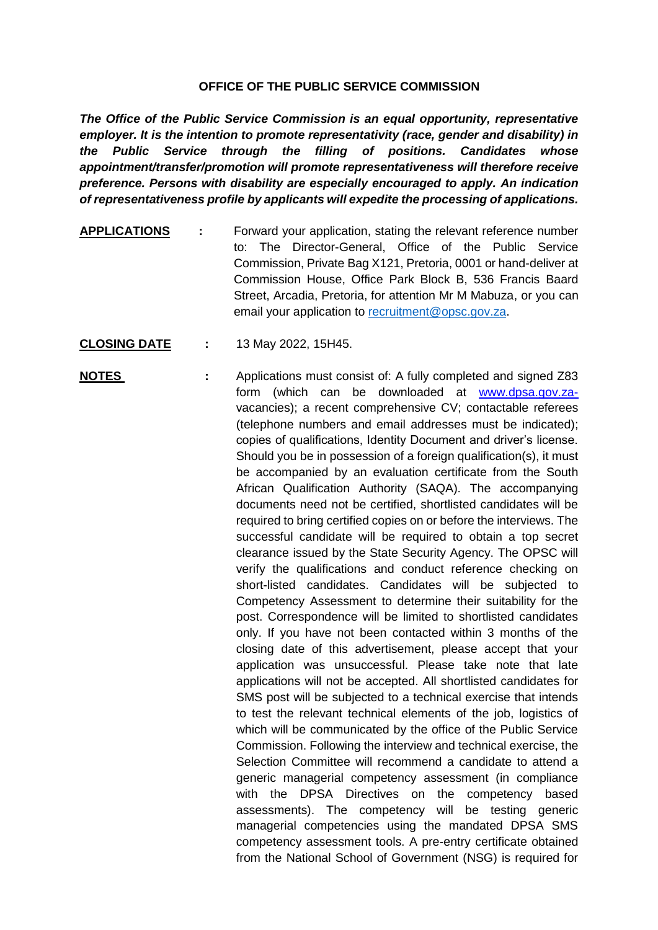## **OFFICE OF THE PUBLIC SERVICE COMMISSION**

*The Office of the Public Service Commission is an equal opportunity, representative employer. It is the intention to promote representativity (race, gender and disability) in the Public Service through the filling of positions. Candidates whose appointment/transfer/promotion will promote representativeness will therefore receive preference. Persons with disability are especially encouraged to apply. An indication of representativeness profile by applicants will expedite the processing of applications.*

- **APPLICATIONS :** Forward your application, stating the relevant reference number to: The Director-General, Office of the Public Service Commission, Private Bag X121, Pretoria, 0001 or hand-deliver at Commission House, Office Park Block B, 536 Francis Baard Street, Arcadia, Pretoria, for attention Mr M Mabuza, or you can email your application to [recruitment@opsc.gov.za.](mailto:recruitment@opsc.gov.za)
- **CLOSING DATE :** 13 May 2022, 15H45.
- **NOTES** : Applications must consist of: A fully completed and signed Z83 form (which can be downloaded at [www.dpsa.gov.za](http://www.dpsa.gov.za-/)vacancies); a recent comprehensive CV; contactable referees (telephone numbers and email addresses must be indicated); copies of qualifications, Identity Document and driver's license. Should you be in possession of a foreign qualification(s), it must be accompanied by an evaluation certificate from the South African Qualification Authority (SAQA). The accompanying documents need not be certified, shortlisted candidates will be required to bring certified copies on or before the interviews. The successful candidate will be required to obtain a top secret clearance issued by the State Security Agency. The OPSC will verify the qualifications and conduct reference checking on short-listed candidates. Candidates will be subjected to Competency Assessment to determine their suitability for the post. Correspondence will be limited to shortlisted candidates only. If you have not been contacted within 3 months of the closing date of this advertisement, please accept that your application was unsuccessful. Please take note that late applications will not be accepted. All shortlisted candidates for SMS post will be subjected to a technical exercise that intends to test the relevant technical elements of the job, logistics of which will be communicated by the office of the Public Service Commission. Following the interview and technical exercise, the Selection Committee will recommend a candidate to attend a generic managerial competency assessment (in compliance with the DPSA Directives on the competency based assessments). The competency will be testing generic managerial competencies using the mandated DPSA SMS competency assessment tools. A pre-entry certificate obtained from the National School of Government (NSG) is required for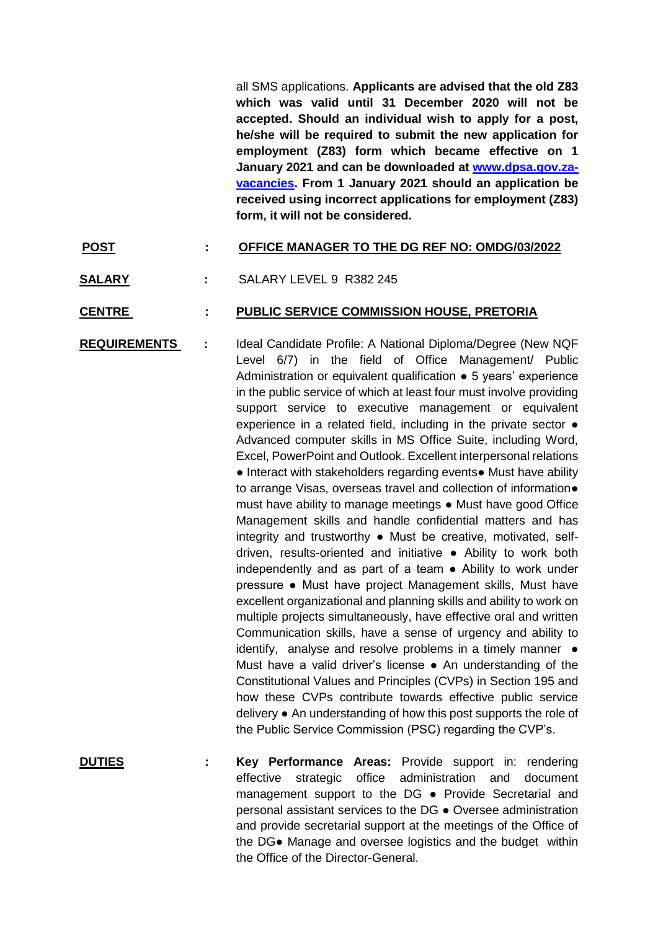all SMS applications. **Applicants are advised that the old Z83 which was valid until 31 December 2020 will not be accepted. Should an individual wish to apply for a post, he/she will be required to submit the new application for employment (Z83) form which became effective on 1 January 2021 and can be downloaded at [www.dpsa.gov.za](http://www.dpsa.gov.za-vacancies/)[vacancies.](http://www.dpsa.gov.za-vacancies/) From 1 January 2021 should an application be received using incorrect applications for employment (Z83) form, it will not be considered.**

## **POST : OFFICE MANAGER TO THE DG REF NO: OMDG/03/2022**

**SALARY :** SALARY LEVEL 9 R382 245

## **CENTRE : PUBLIC SERVICE COMMISSION HOUSE, PRETORIA**

**REQUIREMENTS :** Ideal Candidate Profile: A National Diploma/Degree (New NQF Level 6/7) in the field of Office Management/ Public Administration or equivalent qualification ● 5 years' experience in the public service of which at least four must involve providing support service to executive management or equivalent experience in a related field, including in the private sector ● Advanced computer skills in MS Office Suite, including Word, Excel, PowerPoint and Outlook. Excellent interpersonal relations ● Interact with stakeholders regarding events● Must have ability to arrange Visas, overseas travel and collection of information● must have ability to manage meetings ● Must have good Office Management skills and handle confidential matters and has integrity and trustworthy ● Must be creative, motivated, selfdriven, results-oriented and initiative ● Ability to work both independently and as part of a team ● Ability to work under pressure ● Must have project Management skills, Must have excellent organizational and planning skills and ability to work on multiple projects simultaneously, have effective oral and written Communication skills, have a sense of urgency and ability to identify, analyse and resolve problems in a timely manner  $\bullet$ Must have a valid driver's license ● An understanding of the Constitutional Values and Principles (CVPs) in Section 195 and how these CVPs contribute towards effective public service delivery ● An understanding of how this post supports the role of the Public Service Commission (PSC) regarding the CVP's.

**DUTIES : Key Performance Areas:** Provide support in: rendering effective strategic office administration and document management support to the DG ● Provide Secretarial and personal assistant services to the DG ● Oversee administration and provide secretarial support at the meetings of the Office of the DG● Manage and oversee logistics and the budget within the Office of the Director-General.